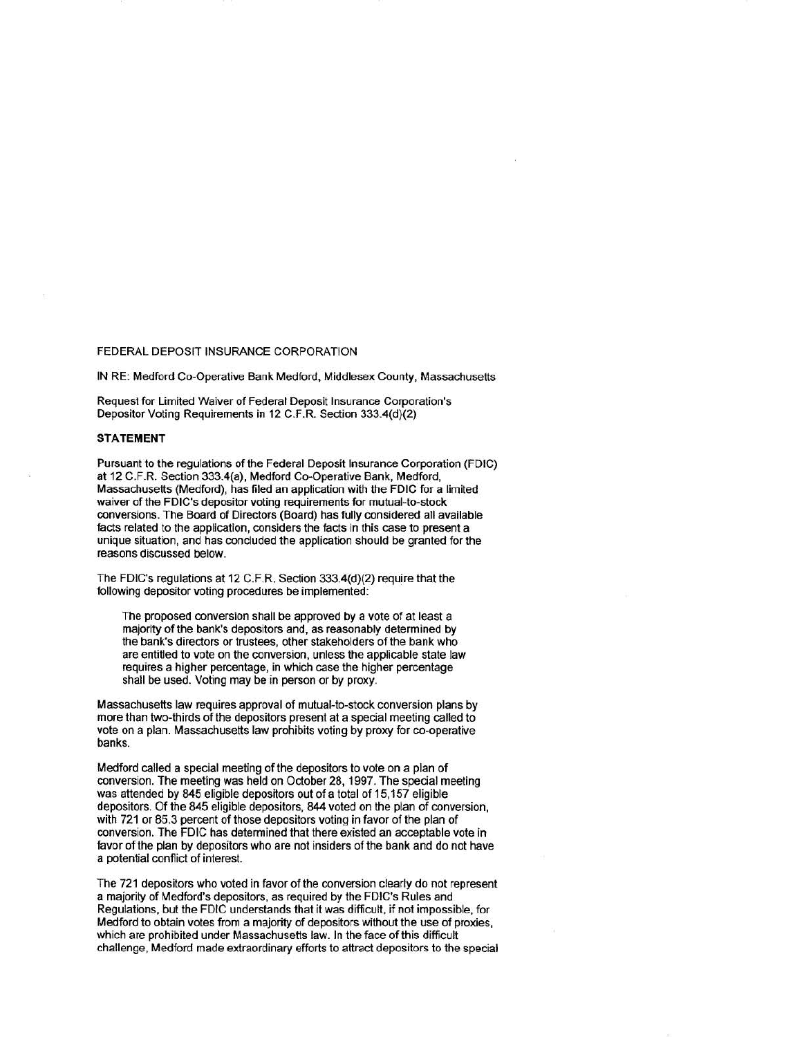## FEDERAL DEPOSIT INSURANCE CORPORATION

IN RE: Medford Co-Operative Bank Medford, Middlesex County, Massachusetts

Request for Limited Waiver of Federal Deposit Insurance Corporation's Depositor Voting Requirements in 12 C.F.R. Section 333.4(d)(2)

## **STATEMENT**

Pursuant to the regulations of the Federal Deposit Insurance Corporation (FDIC) at 12 C.F.R. Section 333.4(a), Medford Co-Operative Bank, Medford, Massachusetts (Medford), has filed an application with the FDIC for a limited waiver of the FDIC's depositor voting requirements for mutual-to-stock conversions. The Board of Directors (Board) has fully considered all available facts related to the application, considers the facts in this case to present a unique situation, and has conduded the application should be granted for the reasons discussed below.

The FDIC's regulations at 12 C.F.R. Section 333.4(d){2) require that the following depositor voting procedures be implemented:

The proposed conversion shall be approved by a vote of at least a majority of the bank's depositors and, as reasonably determined by the bank's directors or trustees, other stakeholders of the bank who are entitled to vote on the conversion, unless the applicable state law requires a higher percentage, in which case the higher percentage shall be used. Voting may be in person or by proxy.

Massachusetts law requires approval of mutual-to-stock conversion plans by more than two-thirds of the depositors present at a special meeting called to vote on a plan. Massachusetts law prohibits voting by proxy for co-operative banks.

Medford called a special meeting of the depositors to vote on a plan of conversion. The meeting was held on October 28, 1997. The special meeting was attended by 845 eligible depositors out of a total of 15,157 eligible depositors. Of the 845 eligible depositors, 844 voted on the plan of conversion, with 721 or 85.3 percent of those depositors voting in favor of the plan of conversion. The FDIC has determined that there existed an acceptable vote in favor of the plan by depositors who are not insiders of the bank and do not have a potential conflict of interest.

The 721 depositors who voted in favor of the conversion clearly do not represent a majority of Medford's depositors, as required by the FDIC's Rules and Regulations, but the FDIC understands that it was difficult, if not impossible, for Medford to obtain votes from a majority of depositors without the use of proxies, which are prohibited under Massachusetts law. In the face of this difficult challenge, Medford made extraordinary efforts to attract depositors to the special